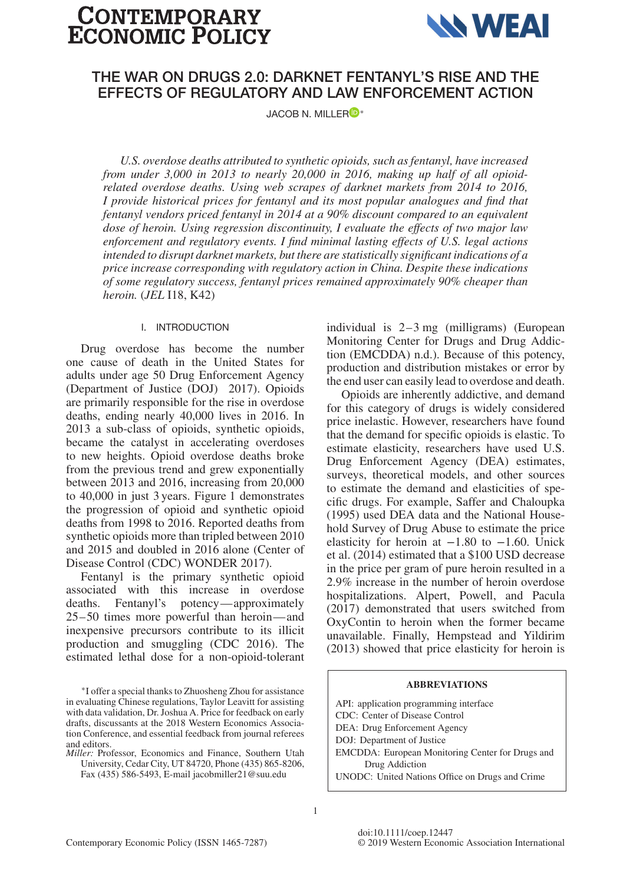# **CONTEMPORARY<br>ECONOMIC POLICY**



# **THE WAR ON DRUGS 2.0: DARKNET FENTANYL'S RISE AND THE EFFECTS OF REGULATORY AND LAW ENFORCEMENT ACTION**

JACOB N. MILLE[R](https://orcid.org/0000-0001-9529-4432)<sup>D</sup><sup>\*</sup>

*U.S. overdose deaths attributed to synthetic opioids, such as fentanyl, have increased from under 3,000 in 2013 to nearly 20,000 in 2016, making up half of all opioidrelated overdose deaths. Using web scrapes of darknet markets from 2014 to 2016, I provide historical prices for fentanyl and its most popular analogues and find that fentanyl vendors priced fentanyl in 2014 at a 90% discount compared to an equivalent dose of heroin. Using regression discontinuity, I evaluate the effects of two major law enforcement and regulatory events. I find minimal lasting effects of U.S. legal actions intended to disrupt darknet markets, but there are statistically significant indications of a price increase corresponding with regulatory action in China. Despite these indications of some regulatory success, fentanyl prices remained approximately 90% cheaper than heroin.* (*JEL* I18, K42)

#### I. INTRODUCTION

Drug overdose has become the number one cause of death in the United States for adults under age 50 Drug Enforcement Agency (Department of Justice (DOJ) 2017). Opioids are primarily responsible for the rise in overdose deaths, ending nearly 40,000 lives in 2016. In 2013 a sub-class of opioids, synthetic opioids, became the catalyst in accelerating overdoses to new heights. Opioid overdose deaths broke from the previous trend and grew exponentially between 2013 and 2016, increasing from 20,000 to 40,000 in just 3 years. Figure 1 demonstrates the progression of opioid and synthetic opioid deaths from 1998 to 2016. Reported deaths from synthetic opioids more than tripled between 2010 and 2015 and doubled in 2016 alone (Center of Disease Control (CDC) WONDER 2017).

Fentanyl is the primary synthetic opioid associated with this increase in overdose deaths. Fentanyl's potency—approximately 25–50 times more powerful than heroin—and inexpensive precursors contribute to its illicit production and smuggling (CDC 2016). The estimated lethal dose for a non-opioid-tolerant individual is 2–3 mg (milligrams) (European Monitoring Center for Drugs and Drug Addiction (EMCDDA) n.d.). Because of this potency, production and distribution mistakes or error by the end user can easily lead to overdose and death.

Opioids are inherently addictive, and demand for this category of drugs is widely considered price inelastic. However, researchers have found that the demand for specific opioids is elastic. To estimate elasticity, researchers have used U.S. Drug Enforcement Agency (DEA) estimates, surveys, theoretical models, and other sources to estimate the demand and elasticities of specific drugs. For example, Saffer and Chaloupka (1995) used DEA data and the National Household Survey of Drug Abuse to estimate the price elasticity for heroin at  $-1.80$  to  $-1.60$ . Unick et al. (2014) estimated that a \$100 USD decrease in the price per gram of pure heroin resulted in a 2.9% increase in the number of heroin overdose hospitalizations. Alpert, Powell, and Pacula (2017) demonstrated that users switched from OxyContin to heroin when the former became unavailable. Finally, Hempstead and Yildirim (2013) showed that price elasticity for heroin is

#### **ABBREVIATIONS**

API: application programming interface CDC: Center of Disease Control DEA: Drug Enforcement Agency DOJ: Department of Justice EMCDDA: European Monitoring Center for Drugs and Drug Addiction UNODC: United Nations Office on Drugs and Crime

<sup>∗</sup>I offer a special thanks to Zhuosheng Zhou for assistance in evaluating Chinese regulations, Taylor Leavitt for assisting with data validation, Dr. Joshua A. Price for feedback on early drafts, discussants at the 2018 Western Economics Association Conference, and essential feedback from journal referees and editors.

*Miller:* Professor, Economics and Finance, Southern Utah University, Cedar City, UT 84720, Phone (435) 865-8206, Fax (435) 586-5493, E-mail jacobmiller21@suu.edu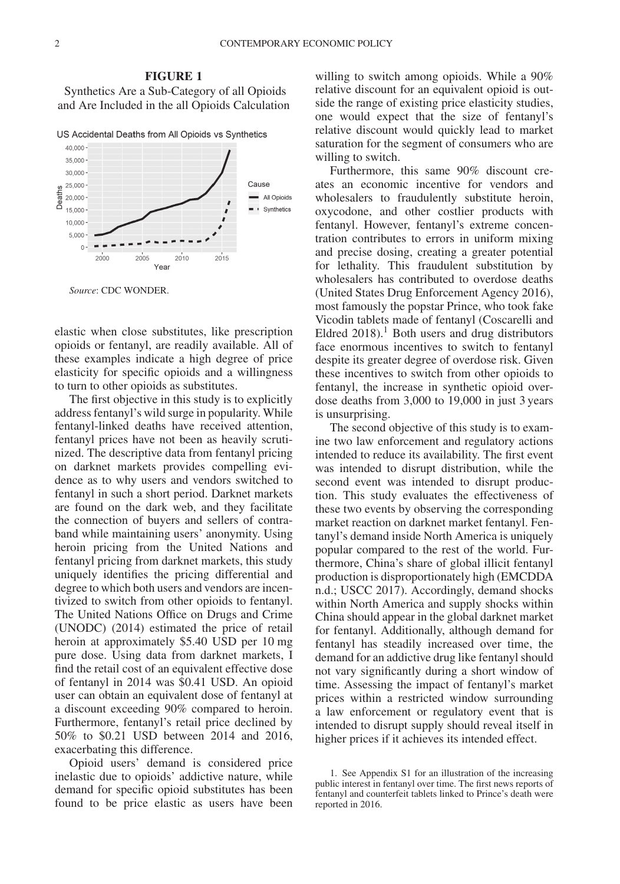# **FIGURE 1**

Synthetics Are a Sub-Category of all Opioids and Are Included in the all Opioids Calculation

US Accidental Deaths from All Opioids vs Synthetics



*Source*: CDC WONDER.

elastic when close substitutes, like prescription opioids or fentanyl, are readily available. All of these examples indicate a high degree of price elasticity for specific opioids and a willingness to turn to other opioids as substitutes.

The first objective in this study is to explicitly address fentanyl's wild surge in popularity. While fentanyl-linked deaths have received attention, fentanyl prices have not been as heavily scrutinized. The descriptive data from fentanyl pricing on darknet markets provides compelling evidence as to why users and vendors switched to fentanyl in such a short period. Darknet markets are found on the dark web, and they facilitate the connection of buyers and sellers of contraband while maintaining users' anonymity. Using heroin pricing from the United Nations and fentanyl pricing from darknet markets, this study uniquely identifies the pricing differential and degree to which both users and vendors are incentivized to switch from other opioids to fentanyl. The United Nations Office on Drugs and Crime (UNODC) (2014) estimated the price of retail heroin at approximately \$5.40 USD per 10 mg pure dose. Using data from darknet markets, I find the retail cost of an equivalent effective dose of fentanyl in 2014 was \$0.41 USD. An opioid user can obtain an equivalent dose of fentanyl at a discount exceeding 90% compared to heroin. Furthermore, fentanyl's retail price declined by 50% to \$0.21 USD between 2014 and 2016, exacerbating this difference.

Opioid users' demand is considered price inelastic due to opioids' addictive nature, while demand for specific opioid substitutes has been found to be price elastic as users have been

willing to switch among opioids. While a 90% relative discount for an equivalent opioid is outside the range of existing price elasticity studies, one would expect that the size of fentanyl's relative discount would quickly lead to market saturation for the segment of consumers who are willing to switch.

Furthermore, this same 90% discount creates an economic incentive for vendors and wholesalers to fraudulently substitute heroin, oxycodone, and other costlier products with fentanyl. However, fentanyl's extreme concentration contributes to errors in uniform mixing and precise dosing, creating a greater potential for lethality. This fraudulent substitution by wholesalers has contributed to overdose deaths (United States Drug Enforcement Agency 2016), most famously the popstar Prince, who took fake Vicodin tablets made of fentanyl (Coscarelli and Eldred 20[1](#page-1-0)8).<sup>1</sup> Both users and drug distributors face enormous incentives to switch to fentanyl despite its greater degree of overdose risk. Given these incentives to switch from other opioids to fentanyl, the increase in synthetic opioid overdose deaths from 3,000 to 19,000 in just 3 years is unsurprising.

The second objective of this study is to examine two law enforcement and regulatory actions intended to reduce its availability. The first event was intended to disrupt distribution, while the second event was intended to disrupt production. This study evaluates the effectiveness of these two events by observing the corresponding market reaction on darknet market fentanyl. Fentanyl's demand inside North America is uniquely popular compared to the rest of the world. Furthermore, China's share of global illicit fentanyl production is disproportionately high (EMCDDA n.d.; USCC 2017). Accordingly, demand shocks within North America and supply shocks within China should appear in the global darknet market for fentanyl. Additionally, although demand for fentanyl has steadily increased over time, the demand for an addictive drug like fentanyl should not vary significantly during a short window of time. Assessing the impact of fentanyl's market prices within a restricted window surrounding a law enforcement or regulatory event that is intended to disrupt supply should reveal itself in higher prices if it achieves its intended effect.

<span id="page-1-0"></span><sup>1.</sup> See Appendix S1 for an illustration of the increasing public interest in fentanyl over time. The first news reports of fentanyl and counterfeit tablets linked to Prince's death were reported in 2016.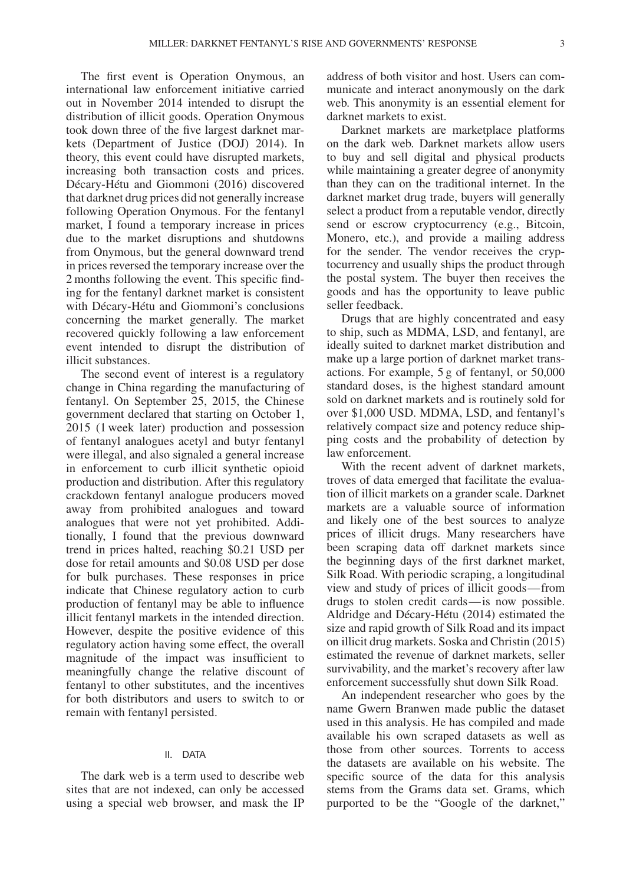The first event is Operation Onymous, an international law enforcement initiative carried out in November 2014 intended to disrupt the distribution of illicit goods. Operation Onymous took down three of the five largest darknet markets (Department of Justice (DOJ) 2014). In theory, this event could have disrupted markets, increasing both transaction costs and prices. Décary-Hétu and Giommoni (2016) discovered that darknet drug prices did not generally increase following Operation Onymous. For the fentanyl market, I found a temporary increase in prices due to the market disruptions and shutdowns from Onymous, but the general downward trend in prices reversed the temporary increase over the 2 months following the event. This specific finding for the fentanyl darknet market is consistent with Décary-Hétu and Giommoni's conclusions concerning the market generally. The market recovered quickly following a law enforcement event intended to disrupt the distribution of illicit substances.

The second event of interest is a regulatory change in China regarding the manufacturing of fentanyl. On September 25, 2015, the Chinese government declared that starting on October 1, 2015 (1 week later) production and possession of fentanyl analogues acetyl and butyr fentanyl were illegal, and also signaled a general increase in enforcement to curb illicit synthetic opioid production and distribution. After this regulatory crackdown fentanyl analogue producers moved away from prohibited analogues and toward analogues that were not yet prohibited. Additionally, I found that the previous downward trend in prices halted, reaching \$0.21 USD per dose for retail amounts and \$0.08 USD per dose for bulk purchases. These responses in price indicate that Chinese regulatory action to curb production of fentanyl may be able to influence illicit fentanyl markets in the intended direction. However, despite the positive evidence of this regulatory action having some effect, the overall magnitude of the impact was insufficient to meaningfully change the relative discount of fentanyl to other substitutes, and the incentives for both distributors and users to switch to or remain with fentanyl persisted.

## II. DATA

The dark web is a term used to describe web sites that are not indexed, can only be accessed using a special web browser, and mask the IP address of both visitor and host. Users can communicate and interact anonymously on the dark web. This anonymity is an essential element for darknet markets to exist.

Darknet markets are marketplace platforms on the dark web. Darknet markets allow users to buy and sell digital and physical products while maintaining a greater degree of anonymity than they can on the traditional internet. In the darknet market drug trade, buyers will generally select a product from a reputable vendor, directly send or escrow cryptocurrency (e.g., Bitcoin, Monero, etc.), and provide a mailing address for the sender. The vendor receives the cryptocurrency and usually ships the product through the postal system. The buyer then receives the goods and has the opportunity to leave public seller feedback.

Drugs that are highly concentrated and easy to ship, such as MDMA, LSD, and fentanyl, are ideally suited to darknet market distribution and make up a large portion of darknet market transactions. For example, 5 g of fentanyl, or 50,000 standard doses, is the highest standard amount sold on darknet markets and is routinely sold for over \$1,000 USD. MDMA, LSD, and fentanyl's relatively compact size and potency reduce shipping costs and the probability of detection by law enforcement.

With the recent advent of darknet markets, troves of data emerged that facilitate the evaluation of illicit markets on a grander scale. Darknet markets are a valuable source of information and likely one of the best sources to analyze prices of illicit drugs. Many researchers have been scraping data off darknet markets since the beginning days of the first darknet market, Silk Road. With periodic scraping, a longitudinal view and study of prices of illicit goods— from drugs to stolen credit cards—is now possible. Aldridge and Décary-Hétu (2014) estimated the size and rapid growth of Silk Road and its impact on illicit drug markets. Soska and Christin (2015) estimated the revenue of darknet markets, seller survivability, and the market's recovery after law enforcement successfully shut down Silk Road.

An independent researcher who goes by the name Gwern Branwen made public the dataset used in this analysis. He has compiled and made available his own scraped datasets as well as those from other sources. Torrents to access the datasets are available on his website. The specific source of the data for this analysis stems from the Grams data set. Grams, which purported to be the "Google of the darknet,"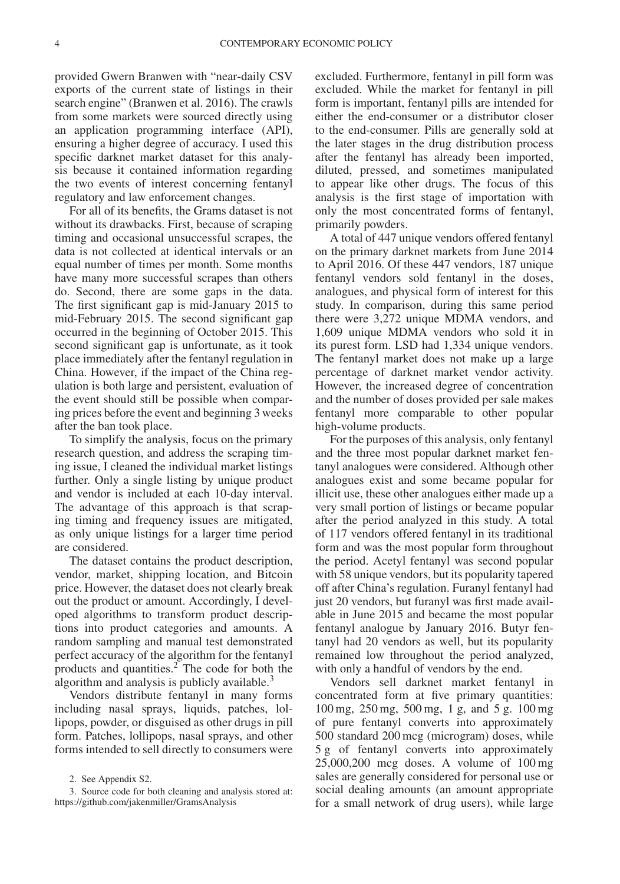provided Gwern Branwen with "near-daily CSV exports of the current state of listings in their search engine" (Branwen et al. 2016). The crawls from some markets were sourced directly using an application programming interface (API), ensuring a higher degree of accuracy. I used this specific darknet market dataset for this analysis because it contained information regarding the two events of interest concerning fentanyl regulatory and law enforcement changes.

For all of its benefits, the Grams dataset is not without its drawbacks. First, because of scraping timing and occasional unsuccessful scrapes, the data is not collected at identical intervals or an equal number of times per month. Some months have many more successful scrapes than others do. Second, there are some gaps in the data. The first significant gap is mid-January 2015 to mid-February 2015. The second significant gap occurred in the beginning of October 2015. This second significant gap is unfortunate, as it took place immediately after the fentanyl regulation in China. However, if the impact of the China regulation is both large and persistent, evaluation of the event should still be possible when comparing prices before the event and beginning 3 weeks after the ban took place.

To simplify the analysis, focus on the primary research question, and address the scraping timing issue, I cleaned the individual market listings further. Only a single listing by unique product and vendor is included at each 10-day interval. The advantage of this approach is that scraping timing and frequency issues are mitigated, as only unique listings for a larger time period are considered.

The dataset contains the product description, vendor, market, shipping location, and Bitcoin price. However, the dataset does not clearly break out the product or amount. Accordingly, I developed algorithms to transform product descriptions into product categories and amounts. A random sampling and manual test demonstrated perfect accuracy of the algorithm for the fentanyl products and quantities[.2](#page-3-0) The code for both the algorithm and analysis is publicly available. $3$ 

Vendors distribute fentanyl in many forms including nasal sprays, liquids, patches, lollipops, powder, or disguised as other drugs in pill form. Patches, lollipops, nasal sprays, and other forms intended to sell directly to consumers were

excluded. Furthermore, fentanyl in pill form was excluded. While the market for fentanyl in pill form is important, fentanyl pills are intended for either the end-consumer or a distributor closer to the end-consumer. Pills are generally sold at the later stages in the drug distribution process after the fentanyl has already been imported, diluted, pressed, and sometimes manipulated to appear like other drugs. The focus of this analysis is the first stage of importation with only the most concentrated forms of fentanyl, primarily powders.

A total of 447 unique vendors offered fentanyl on the primary darknet markets from June 2014 to April 2016. Of these 447 vendors, 187 unique fentanyl vendors sold fentanyl in the doses, analogues, and physical form of interest for this study. In comparison, during this same period there were 3,272 unique MDMA vendors, and 1,609 unique MDMA vendors who sold it in its purest form. LSD had 1,334 unique vendors. The fentanyl market does not make up a large percentage of darknet market vendor activity. However, the increased degree of concentration and the number of doses provided per sale makes fentanyl more comparable to other popular high-volume products.

For the purposes of this analysis, only fentanyl and the three most popular darknet market fentanyl analogues were considered. Although other analogues exist and some became popular for illicit use, these other analogues either made up a very small portion of listings or became popular after the period analyzed in this study. A total of 117 vendors offered fentanyl in its traditional form and was the most popular form throughout the period. Acetyl fentanyl was second popular with 58 unique vendors, but its popularity tapered off after China's regulation. Furanyl fentanyl had just 20 vendors, but furanyl was first made available in June 2015 and became the most popular fentanyl analogue by January 2016. Butyr fentanyl had 20 vendors as well, but its popularity remained low throughout the period analyzed, with only a handful of vendors by the end.

Vendors sell darknet market fentanyl in concentrated form at five primary quantities: 100 mg, 250 mg, 500 mg, 1 g, and 5 g. 100 mg of pure fentanyl converts into approximately 500 standard 200 mcg (microgram) doses, while 5 g of fentanyl converts into approximately 25,000,200 mcg doses. A volume of 100 mg sales are generally considered for personal use or social dealing amounts (an amount appropriate for a small network of drug users), while large

<span id="page-3-1"></span><span id="page-3-0"></span><sup>2.</sup> See Appendix S2.

<sup>3.</sup> Source code for both cleaning and analysis stored at: <https://github.com/jakenmiller/GramsAnalysis>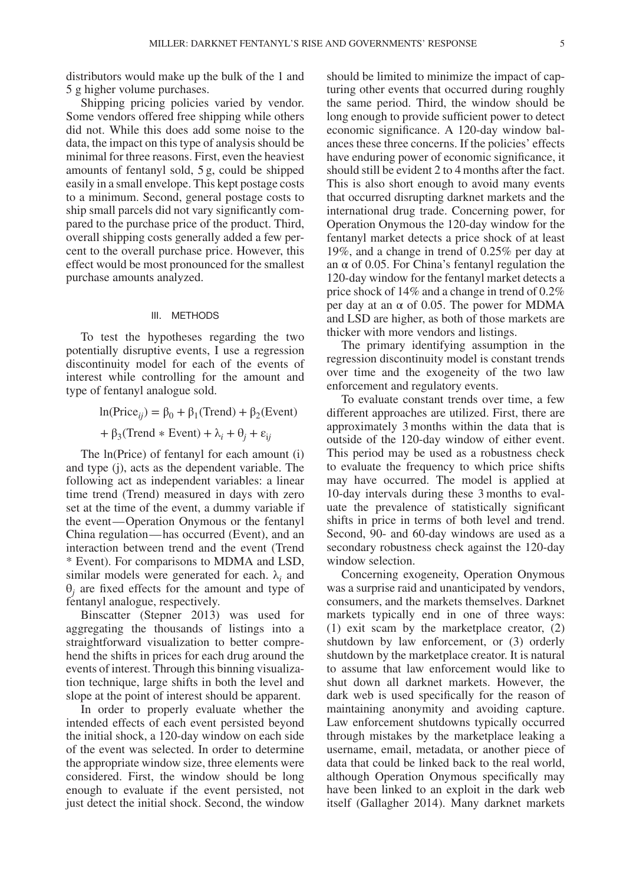distributors would make up the bulk of the 1 and 5 g higher volume purchases.

Shipping pricing policies varied by vendor. Some vendors offered free shipping while others did not. While this does add some noise to the data, the impact on this type of analysis should be minimal for three reasons. First, even the heaviest amounts of fentanyl sold, 5 g, could be shipped easily in a small envelope. This kept postage costs to a minimum. Second, general postage costs to ship small parcels did not vary significantly compared to the purchase price of the product. Third, overall shipping costs generally added a few percent to the overall purchase price. However, this effect would be most pronounced for the smallest purchase amounts analyzed.

#### III. METHODS

To test the hypotheses regarding the two potentially disruptive events, I use a regression discontinuity model for each of the events of interest while controlling for the amount and type of fentanyl analogue sold.

> $ln(Price_{ij}) = \beta_0 + \beta_1(Trend) + \beta_2(Event)$ +  $\beta_3$ (Trend \* Event) +  $\lambda_i$  +  $\theta_j$  +  $\varepsilon_{ij}$

The ln(Price) of fentanyl for each amount (i) and type (j), acts as the dependent variable. The following act as independent variables: a linear time trend (Trend) measured in days with zero set at the time of the event, a dummy variable if the event—Operation Onymous or the fentanyl China regulation—has occurred (Event), and an interaction between trend and the event (Trend \* Event). For comparisons to MDMA and LSD, similar models were generated for each.  $\lambda_i$  and θ*<sup>j</sup>* are fixed effects for the amount and type of fentanyl analogue, respectively.

Binscatter (Stepner 2013) was used for aggregating the thousands of listings into a straightforward visualization to better comprehend the shifts in prices for each drug around the events of interest. Through this binning visualization technique, large shifts in both the level and slope at the point of interest should be apparent.

In order to properly evaluate whether the intended effects of each event persisted beyond the initial shock, a 120-day window on each side of the event was selected. In order to determine the appropriate window size, three elements were considered. First, the window should be long enough to evaluate if the event persisted, not just detect the initial shock. Second, the window should be limited to minimize the impact of capturing other events that occurred during roughly the same period. Third, the window should be long enough to provide sufficient power to detect economic significance. A 120-day window balances these three concerns. If the policies' effects have enduring power of economic significance, it should still be evident 2 to 4 months after the fact. This is also short enough to avoid many events that occurred disrupting darknet markets and the international drug trade. Concerning power, for Operation Onymous the 120-day window for the fentanyl market detects a price shock of at least 19%, and a change in trend of 0.25% per day at an  $\alpha$  of 0.05. For China's fentanyl regulation the 120-day window for the fentanyl market detects a price shock of 14% and a change in trend of 0.2% per day at an α of 0.05. The power for MDMA and LSD are higher, as both of those markets are thicker with more vendors and listings.

The primary identifying assumption in the regression discontinuity model is constant trends over time and the exogeneity of the two law enforcement and regulatory events.

To evaluate constant trends over time, a few different approaches are utilized. First, there are approximately 3 months within the data that is outside of the 120-day window of either event. This period may be used as a robustness check to evaluate the frequency to which price shifts may have occurred. The model is applied at 10-day intervals during these 3 months to evaluate the prevalence of statistically significant shifts in price in terms of both level and trend. Second, 90- and 60-day windows are used as a secondary robustness check against the 120-day window selection.

Concerning exogeneity, Operation Onymous was a surprise raid and unanticipated by vendors, consumers, and the markets themselves. Darknet markets typically end in one of three ways: (1) exit scam by the marketplace creator, (2) shutdown by law enforcement, or (3) orderly shutdown by the marketplace creator. It is natural to assume that law enforcement would like to shut down all darknet markets. However, the dark web is used specifically for the reason of maintaining anonymity and avoiding capture. Law enforcement shutdowns typically occurred through mistakes by the marketplace leaking a username, email, metadata, or another piece of data that could be linked back to the real world, although Operation Onymous specifically may have been linked to an exploit in the dark web itself (Gallagher 2014). Many darknet markets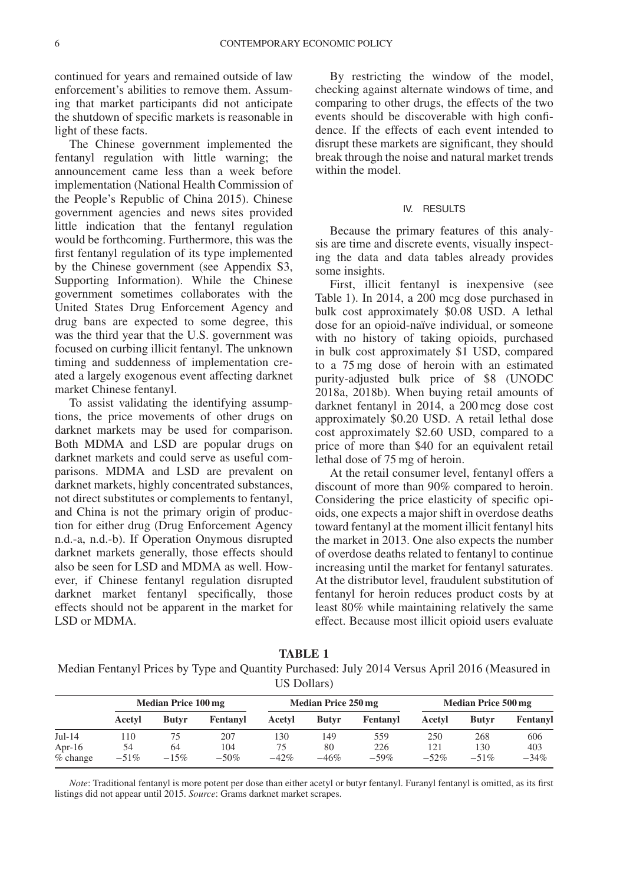continued for years and remained outside of law enforcement's abilities to remove them. Assuming that market participants did not anticipate the shutdown of specific markets is reasonable in light of these facts.

The Chinese government implemented the fentanyl regulation with little warning; the announcement came less than a week before implementation (National Health Commission of the People's Republic of China 2015). Chinese government agencies and news sites provided little indication that the fentanyl regulation would be forthcoming. Furthermore, this was the first fentanyl regulation of its type implemented by the Chinese government (see Appendix S3, Supporting Information). While the Chinese government sometimes collaborates with the United States Drug Enforcement Agency and drug bans are expected to some degree, this was the third year that the U.S. government was focused on curbing illicit fentanyl. The unknown timing and suddenness of implementation created a largely exogenous event affecting darknet market Chinese fentanyl.

To assist validating the identifying assumptions, the price movements of other drugs on darknet markets may be used for comparison. Both MDMA and LSD are popular drugs on darknet markets and could serve as useful comparisons. MDMA and LSD are prevalent on darknet markets, highly concentrated substances, not direct substitutes or complements to fentanyl, and China is not the primary origin of production for either drug (Drug Enforcement Agency n.d.-a, n.d.-b). If Operation Onymous disrupted darknet markets generally, those effects should also be seen for LSD and MDMA as well. However, if Chinese fentanyl regulation disrupted darknet market fentanyl specifically, those effects should not be apparent in the market for LSD or MDMA.

By restricting the window of the model, checking against alternate windows of time, and comparing to other drugs, the effects of the two events should be discoverable with high confidence. If the effects of each event intended to disrupt these markets are significant, they should break through the noise and natural market trends within the model.

#### IV. RESULTS

Because the primary features of this analysis are time and discrete events, visually inspecting the data and data tables already provides some insights.

First, illicit fentanyl is inexpensive (see Table 1). In 2014, a 200 mcg dose purchased in bulk cost approximately \$0.08 USD. A lethal dose for an opioid-naïve individual, or someone with no history of taking opioids, purchased in bulk cost approximately \$1 USD, compared to a 75 mg dose of heroin with an estimated purity-adjusted bulk price of \$8 (UNODC 2018a, 2018b). When buying retail amounts of darknet fentanyl in 2014, a 200 mcg dose cost approximately \$0.20 USD. A retail lethal dose cost approximately \$2.60 USD, compared to a price of more than \$40 for an equivalent retail lethal dose of 75 mg of heroin.

At the retail consumer level, fentanyl offers a discount of more than 90% compared to heroin. Considering the price elasticity of specific opioids, one expects a major shift in overdose deaths toward fentanyl at the moment illicit fentanyl hits the market in 2013. One also expects the number of overdose deaths related to fentanyl to continue increasing until the market for fentanyl saturates. At the distributor level, fraudulent substitution of fentanyl for heroin reduces product costs by at least 80% while maintaining relatively the same effect. Because most illicit opioid users evaluate

| . . |  |
|-----|--|
|-----|--|

Median Fentanyl Prices by Type and Quantity Purchased: July 2014 Versus April 2016 (Measured in US Dollars)

|            | Median Price 100 mg |              | Median Price 250 mg |        |              | Median Price 500 mg |         |              |          |
|------------|---------------------|--------------|---------------------|--------|--------------|---------------------|---------|--------------|----------|
|            | Acetyl              | <b>Butyr</b> | Fentanyl            | Acetyl | <b>Butyr</b> | Fentanyl            | Acetyl  | <b>Butyr</b> | Fentanyl |
| $Jul-14$   | 110                 | 75           | 207                 | 130    | 149          | 559                 | 250     | 268          | 606      |
| Apr-16     | 54                  | 64           | 104                 | 75     | 80           | 226                 | 121     | 130          | 403      |
| $%$ change | $-51\%$             | $-15%$       | $-50\%$             | $-42%$ | $-46%$       | $-59\%$             | $-52\%$ | $-51\%$      | $-34%$   |

*Note*: Traditional fentanyl is more potent per dose than either acetyl or butyr fentanyl. Furanyl fentanyl is omitted, as its first listings did not appear until 2015. *Source*: Grams darknet market scrapes.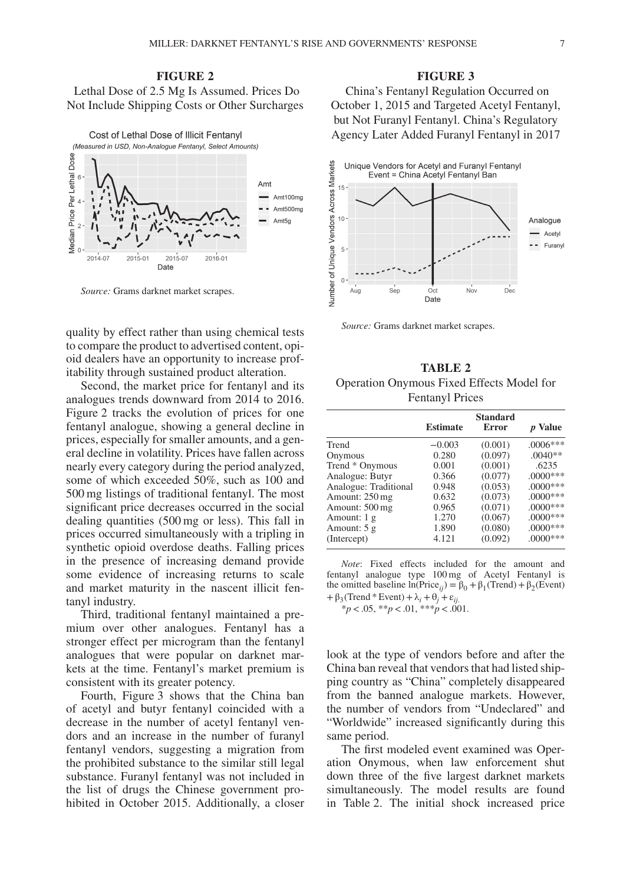# **FIGURE 2**

Lethal Dose of 2.5 Mg Is Assumed. Prices Do Not Include Shipping Costs or Other Surcharges



*Source:* Grams darknet market scrapes.

quality by effect rather than using chemical tests to compare the product to advertised content, opioid dealers have an opportunity to increase profitability through sustained product alteration.

Second, the market price for fentanyl and its analogues trends downward from 2014 to 2016. Figure 2 tracks the evolution of prices for one fentanyl analogue, showing a general decline in prices, especially for smaller amounts, and a general decline in volatility. Prices have fallen across nearly every category during the period analyzed, some of which exceeded 50%, such as 100 and 500 mg listings of traditional fentanyl. The most significant price decreases occurred in the social dealing quantities (500 mg or less). This fall in prices occurred simultaneously with a tripling in synthetic opioid overdose deaths. Falling prices in the presence of increasing demand provide some evidence of increasing returns to scale and market maturity in the nascent illicit fentanyl industry.

Third, traditional fentanyl maintained a premium over other analogues. Fentanyl has a stronger effect per microgram than the fentanyl analogues that were popular on darknet markets at the time. Fentanyl's market premium is consistent with its greater potency.

Fourth, Figure 3 shows that the China ban of acetyl and butyr fentanyl coincided with a decrease in the number of acetyl fentanyl vendors and an increase in the number of furanyl fentanyl vendors, suggesting a migration from the prohibited substance to the similar still legal substance. Furanyl fentanyl was not included in the list of drugs the Chinese government prohibited in October 2015. Additionally, a closer

## **FIGURE 3**

China's Fentanyl Regulation Occurred on October 1, 2015 and Targeted Acetyl Fentanyl, but Not Furanyl Fentanyl. China's Regulatory Agency Later Added Furanyl Fentanyl in 2017



*Source:* Grams darknet market scrapes.

**TABLE 2** Operation Onymous Fixed Effects Model for Fentanyl Prices

|                       | <b>Estimate</b> | <b>Standard</b><br><b>Error</b> | <i>p</i> Value |
|-----------------------|-----------------|---------------------------------|----------------|
| Trend                 | $-0.003$        | (0.001)                         | $.0006***$     |
| Onymous               | 0.280           | (0.097)                         | $.0040**$      |
| Trend * Onymous       | 0.001           | (0.001)                         | .6235          |
| Analogue: Butyr       | 0.366           | (0.077)                         | $.0000$ ***    |
| Analogue: Traditional | 0.948           | (0.053)                         | $.0000$ ***    |
| Amount: 250 mg        | 0.632           | (0.073)                         | $.0000$ ***    |
| Amount: 500 mg        | 0.965           | (0.071)                         | $.0000***$     |
| Amount: 1 g           | 1.270           | (0.067)                         | $.0000***$     |
| Amount: 5 g           | 1.890           | (0.080)                         | $.0000$ ***    |
| (Intercept)           | 4.121           | (0.092)                         | $.0000$ ***    |

*Note*: Fixed effects included for the amount and fentanyl analogue type 100 mg of Acetyl Fentanyl is the omitted baseline  $ln(Price_{ii}) = \beta_0 + \beta_1(Trend) + \beta_2(Event)$ +  $\beta_3$ (Trend \* Event) +  $\lambda_i$  +  $\theta_i$  +  $\varepsilon_{ii}$ .

\**p<*.05, \*\**p<*.01, \*\*\**p<*.001.

look at the type of vendors before and after the China ban reveal that vendors that had listed shipping country as "China" completely disappeared from the banned analogue markets. However, the number of vendors from "Undeclared" and "Worldwide" increased significantly during this same period.

The first modeled event examined was Operation Onymous, when law enforcement shut down three of the five largest darknet markets simultaneously. The model results are found in Table 2. The initial shock increased price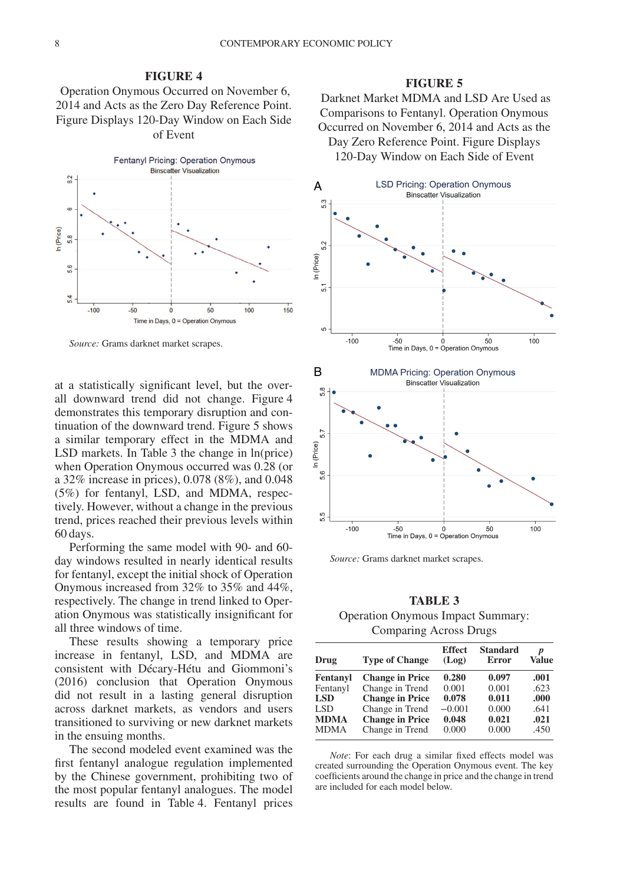

# **FIGURE 4**

Operation Onymous Occurred on November 6, 2014 and Acts as the Zero Day Reference Point. Figure Displays 120-Day Window on Each Side of Event

*Source:* Grams darknet market scrapes.

at a statistically significant level, but the overall downward trend did not change. Figure 4 demonstrates this temporary disruption and continuation of the downward trend. Figure 5 shows a similar temporary effect in the MDMA and LSD markets. In Table 3 the change in ln(price) when Operation Onymous occurred was 0.28 (or a 32% increase in prices), 0.078 (8%), and 0.048 (5%) for fentanyl, LSD, and MDMA, respectively. However, without a change in the previous trend, prices reached their previous levels within 60 days.

Performing the same model with 90- and 60 day windows resulted in nearly identical results for fentanyl, except the initial shock of Operation Onymous increased from 32% to 35% and 44%, respectively. The change in trend linked to Operation Onymous was statistically insignificant for all three windows of time.

These results showing a temporary price increase in fentanyl, LSD, and MDMA are consistent with Décary-Hétu and Giommoni's (2016) conclusion that Operation Onymous did not result in a lasting general disruption across darknet markets, as vendors and users transitioned to surviving or new darknet markets in the ensuing months.

The second modeled event examined was the first fentanyl analogue regulation implemented by the Chinese government, prohibiting two of the most popular fentanyl analogues. The model results are found in Table 4. Fentanyl prices

# **FIGURE 5**

Darknet Market MDMA and LSD Are Used as Comparisons to Fentanyl. Operation Onymous Occurred on November 6, 2014 and Acts as the Day Zero Reference Point. Figure Displays 120-Day Window on Each Side of Event



*Source:* Grams darknet market scrapes.

**TABLE 3** Operation Onymous Impact Summary: Comparing Across Drugs

| Drug        | <b>Type of Change</b>  | <b>Effect</b><br>(Log) | <b>Standard</b><br><b>Error</b> | Value |
|-------------|------------------------|------------------------|---------------------------------|-------|
| Fentanyl    | <b>Change in Price</b> | 0.280                  | 0.097                           | .001  |
| Fentanyl    | Change in Trend        | 0.001                  | 0.001                           | .623  |
| <b>LSD</b>  | <b>Change in Price</b> | 0.078                  | 0.011                           | .000  |
| LSD.        | Change in Trend        | $-0.001$               | 0.000                           | .641  |
| <b>MDMA</b> | <b>Change in Price</b> | 0.048                  | 0.021                           | .021  |
| <b>MDMA</b> | Change in Trend        | 0.000                  | 0.000                           | .450  |

*Note*: For each drug a similar fixed effects model was created surrounding the Operation Onymous event. The key coefficients around the change in price and the change in trend are included for each model below.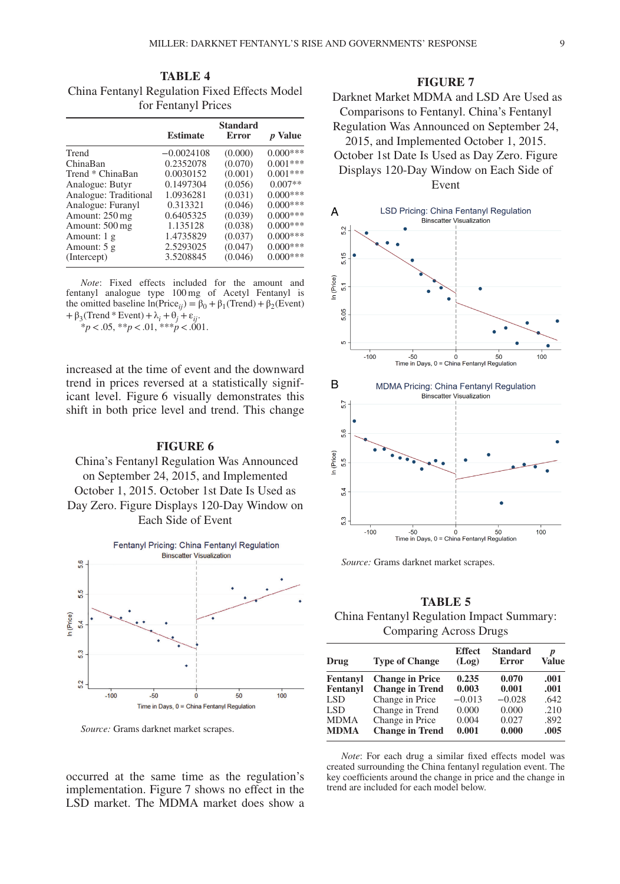| <b>TABLE 4</b>                                |
|-----------------------------------------------|
| China Fentanyl Regulation Fixed Effects Model |
| for Fentanyl Prices                           |

|                       | <b>Estimate</b> | <b>Standard</b><br>Error | <i>p</i> Value |
|-----------------------|-----------------|--------------------------|----------------|
| Trend                 | $-0.0024108$    | (0.000)                  | $0.000***$     |
| ChinaBan              | 0.2352078       | (0.070)                  | $0.001***$     |
| Trend * ChinaBan      | 0.0030152       | (0.001)                  | $0.001***$     |
| Analogue: Butyr       | 0.1497304       | (0.056)                  | $0.007**$      |
| Analogue: Traditional | 1.0936281       | (0.031)                  | $0.000***$     |
| Analogue: Furanyl     | 0.313321        | (0.046)                  | $0.000***$     |
| Amount: 250 mg        | 0.6405325       | (0.039)                  | $0.000***$     |
| Amount: 500 mg        | 1.135128        | (0.038)                  | $0.000***$     |
| Amount: 1 g           | 1.4735829       | (0.037)                  | $0.000***$     |
| Amount: 5 g           | 2.5293025       | (0.047)                  | $0.000***$     |
| (Intercept)           | 3.5208845       | (0.046)                  | $0.000***$     |

*Note*: Fixed effects included for the amount and fentanyl analogue type 100 mg of Acetyl Fentanyl is the omitted baseline  $\ln(\text{Price}_{ij}) = \beta_0 + \beta_1(\text{Trend}) + \beta_2(\text{Event})$ +  $\beta_3$ (Trend \* Event) +  $\lambda_i$  +  $\theta_j$  +  $\varepsilon_{ii}$ .

\**p<*.05, \*\**p<*.01, \*\*\**p<*.001.

increased at the time of event and the downward trend in prices reversed at a statistically significant level. Figure 6 visually demonstrates this shift in both price level and trend. This change

### **FIGURE 6**

China's Fentanyl Regulation Was Announced on September 24, 2015, and Implemented October 1, 2015. October 1st Date Is Used as Day Zero. Figure Displays 120-Day Window on Each Side of Event



*Source:* Grams darknet market scrapes.

occurred at the same time as the regulation's implementation. Figure 7 shows no effect in the LSD market. The MDMA market does show a

#### **FIGURE 7**

Darknet Market MDMA and LSD Are Used as Comparisons to Fentanyl. China's Fentanyl Regulation Was Announced on September 24, 2015, and Implemented October 1, 2015. October 1st Date Is Used as Day Zero. Figure Displays 120-Day Window on Each Side of Event



*Source:* Grams darknet market scrapes.

**TABLE 5** China Fentanyl Regulation Impact Summary: Comparing Across Drugs

| Drug                       | <b>Type of Change</b>                            | <b>Effect</b><br>(Log) | <b>Standard</b><br><b>Error</b> | <b>Value</b> |
|----------------------------|--------------------------------------------------|------------------------|---------------------------------|--------------|
| Fentanyl<br>Fentanyl       | <b>Change in Price</b><br><b>Change in Trend</b> | 0.235<br>0.003         | 0.070<br>0.001                  | .001<br>.001 |
| LSD <sub>1</sub>           | Change in Price                                  | $-0.013$               | $-0.028$                        | .642         |
| LSD <sub>1</sub>           | Change in Trend                                  | 0.000                  | 0.000                           | .210         |
| <b>MDMA</b><br><b>MDMA</b> | Change in Price<br><b>Change in Trend</b>        | 0.004<br>0.001         | 0.027<br>0.000                  | .892<br>.005 |

*Note*: For each drug a similar fixed effects model was created surrounding the China fentanyl regulation event. The key coefficients around the change in price and the change in trend are included for each model below.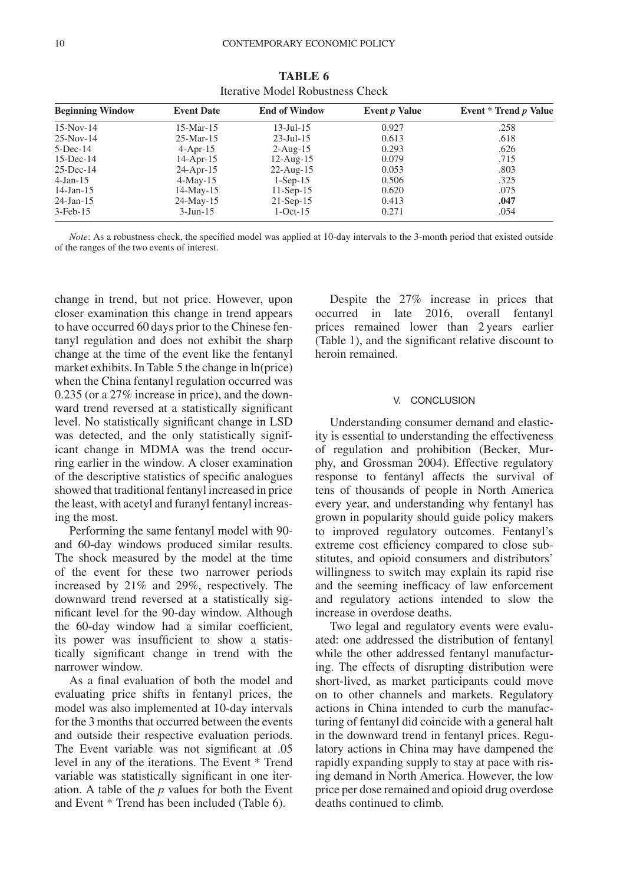| <b>Beginning Window</b> | <b>Event Date</b> | <b>End of Window</b> | Event <i>p</i> Value | Event * Trend p Value |
|-------------------------|-------------------|----------------------|----------------------|-----------------------|
| $15-Nov-14$             | $15$ -Mar- $15$   | $13$ -Jul-15         | 0.927                | .258                  |
| $25-Nov-14$             | $25-Mar-15$       | $23$ -Jul-15         | 0.613                | .618                  |
| $5$ -Dec-14             | $4$ -Apr-15       | $2-Aug-15$           | 0.293                | .626                  |
| $15$ -Dec-14            | $14$ -Apr-15      | $12$ -Aug- $15$      | 0.079                | .715                  |
| $25$ -Dec-14            | $24$ -Apr-15      | $22$ -Aug-15         | 0.053                | .803                  |
| 4-Jan-15                | $4-May-15$        | $1-Sep-15$           | 0.506                | .325                  |
| $14$ -Jan- $15$         | $14$ -May-15      | $11-Sep-15$          | 0.620                | .075                  |
| 24-Jan-15               | $24$ -May-15      | $21$ -Sep-15         | 0.413                | .047                  |
| $3-Feb-15$              | $3$ -Jun-15       | $1-Oct-15$           | 0.271                | .054                  |

**TABLE 6** Iterative Model Robustness Check

*Note*: As a robustness check, the specified model was applied at 10-day intervals to the 3-month period that existed outside of the ranges of the two events of interest.

change in trend, but not price. However, upon closer examination this change in trend appears to have occurred 60 days prior to the Chinese fentanyl regulation and does not exhibit the sharp change at the time of the event like the fentanyl market exhibits. In Table 5 the change in ln(price) when the China fentanyl regulation occurred was 0.235 (or a 27% increase in price), and the downward trend reversed at a statistically significant level. No statistically significant change in LSD was detected, and the only statistically significant change in MDMA was the trend occurring earlier in the window. A closer examination of the descriptive statistics of specific analogues showed that traditional fentanyl increased in price the least, with acetyl and furanyl fentanyl increasing the most.

Performing the same fentanyl model with 90 and 60-day windows produced similar results. The shock measured by the model at the time of the event for these two narrower periods increased by 21% and 29%, respectively. The downward trend reversed at a statistically significant level for the 90-day window. Although the 60-day window had a similar coefficient, its power was insufficient to show a statistically significant change in trend with the narrower window.

As a final evaluation of both the model and evaluating price shifts in fentanyl prices, the model was also implemented at 10-day intervals for the 3 months that occurred between the events and outside their respective evaluation periods. The Event variable was not significant at .05 level in any of the iterations. The Event \* Trend variable was statistically significant in one iteration. A table of the *p* values for both the Event and Event \* Trend has been included (Table 6).

Despite the 27% increase in prices that occurred in late 2016, overall fentanyl prices remained lower than 2 years earlier (Table 1), and the significant relative discount to heroin remained.

#### V. CONCLUSION

Understanding consumer demand and elasticity is essential to understanding the effectiveness of regulation and prohibition (Becker, Murphy, and Grossman 2004). Effective regulatory response to fentanyl affects the survival of tens of thousands of people in North America every year, and understanding why fentanyl has grown in popularity should guide policy makers to improved regulatory outcomes. Fentanyl's extreme cost efficiency compared to close substitutes, and opioid consumers and distributors' willingness to switch may explain its rapid rise and the seeming inefficacy of law enforcement and regulatory actions intended to slow the increase in overdose deaths.

Two legal and regulatory events were evaluated: one addressed the distribution of fentanyl while the other addressed fentanyl manufacturing. The effects of disrupting distribution were short-lived, as market participants could move on to other channels and markets. Regulatory actions in China intended to curb the manufacturing of fentanyl did coincide with a general halt in the downward trend in fentanyl prices. Regulatory actions in China may have dampened the rapidly expanding supply to stay at pace with rising demand in North America. However, the low price per dose remained and opioid drug overdose deaths continued to climb.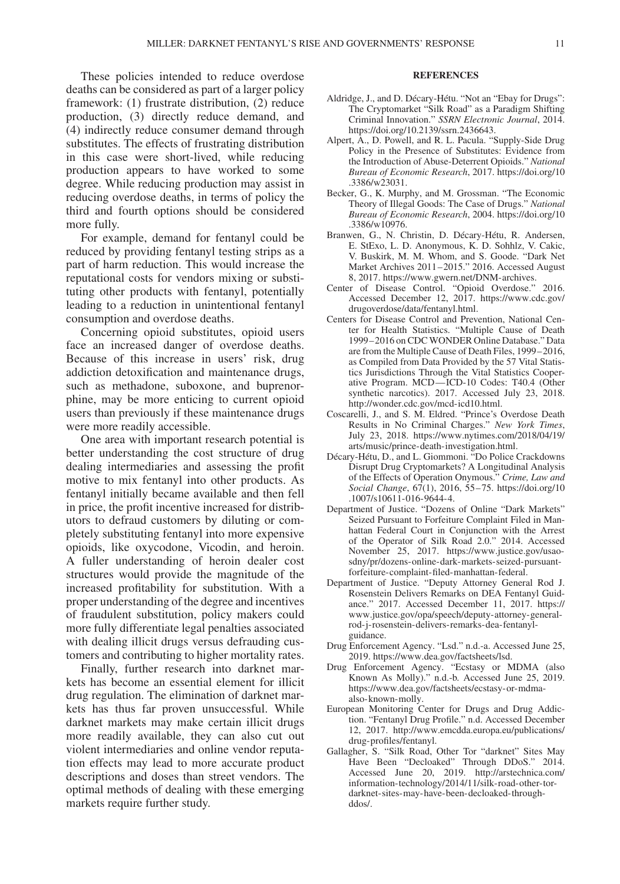These policies intended to reduce overdose deaths can be considered as part of a larger policy framework: (1) frustrate distribution, (2) reduce production, (3) directly reduce demand, and (4) indirectly reduce consumer demand through substitutes. The effects of frustrating distribution in this case were short-lived, while reducing production appears to have worked to some degree. While reducing production may assist in reducing overdose deaths, in terms of policy the third and fourth options should be considered more fully.

For example, demand for fentanyl could be reduced by providing fentanyl testing strips as a part of harm reduction. This would increase the reputational costs for vendors mixing or substituting other products with fentanyl, potentially leading to a reduction in unintentional fentanyl consumption and overdose deaths.

Concerning opioid substitutes, opioid users face an increased danger of overdose deaths. Because of this increase in users' risk, drug addiction detoxification and maintenance drugs, such as methadone, suboxone, and buprenorphine, may be more enticing to current opioid users than previously if these maintenance drugs were more readily accessible.

One area with important research potential is better understanding the cost structure of drug dealing intermediaries and assessing the profit motive to mix fentanyl into other products. As fentanyl initially became available and then fell in price, the profit incentive increased for distributors to defraud customers by diluting or completely substituting fentanyl into more expensive opioids, like oxycodone, Vicodin, and heroin. A fuller understanding of heroin dealer cost structures would provide the magnitude of the increased profitability for substitution. With a proper understanding of the degree and incentives of fraudulent substitution, policy makers could more fully differentiate legal penalties associated with dealing illicit drugs versus defrauding customers and contributing to higher mortality rates.

Finally, further research into darknet markets has become an essential element for illicit drug regulation. The elimination of darknet markets has thus far proven unsuccessful. While darknet markets may make certain illicit drugs more readily available, they can also cut out violent intermediaries and online vendor reputation effects may lead to more accurate product descriptions and doses than street vendors. The optimal methods of dealing with these emerging markets require further study.

### **REFERENCES**

- Aldridge, J., and D. Décary-Hétu. "Not an "Ebay for Drugs": The Cryptomarket "Silk Road" as a Paradigm Shifting Criminal Innovation." *SSRN Electronic Journal*, 2014. [https://doi.org/10.2139/ssrn.2436643.](https://doi.org/10.2139/ssrn.2436643)
- Alpert, A., D. Powell, and R. L. Pacula. "Supply-Side Drug Policy in the Presence of Substitutes: Evidence from the Introduction of Abuse-Deterrent Opioids." *National Bureau of Economic Research*, 2017. [https://doi.org/10](https://doi.org/10.3386/w23031) [.3386/w23031.](https://doi.org/10.3386/w23031)
- Becker, G., K. Murphy, and M. Grossman. "The Economic Theory of Illegal Goods: The Case of Drugs." *National Bureau of Economic Research*, 2004. [https://doi.org/10](https://doi.org/10.3386/w10976) [.3386/w10976.](https://doi.org/10.3386/w10976)
- Branwen, G., N. Christin, D. Décary-Hétu, R. Andersen, E. StExo, L. D. Anonymous, K. D. Sohhlz, V. Cakic, V. Buskirk, M. M. Whom, and S. Goode. "Dark Net Market Archives 2011–2015." 2016. Accessed August 8, 2017. [https://www.gwern.net/DNM-archives.](https://www.gwern.net/DNM-archives)
- Center of Disease Control. "Opioid Overdose." 2016. Accessed December 12, 2017. [https://www.cdc.gov/](https://www.cdc.gov/drugoverdose/data/fentanyl.html) [drugoverdose/data/fentanyl.html.](https://www.cdc.gov/drugoverdose/data/fentanyl.html)
- Centers for Disease Control and Prevention, National Center for Health Statistics. "Multiple Cause of Death 1999–2016 on CDC WONDER Online Database." Data are from the Multiple Cause of Death Files, 1999–2016, as Compiled from Data Provided by the 57 Vital Statistics Jurisdictions Through the Vital Statistics Cooperative Program. MCD— ICD-10 Codes: T40.4 (Other synthetic narcotics). 2017. Accessed July 23, 2018. [http://wonder.cdc.gov/mcd-icd10.html.](http://wonder.cdc.gov/mcd-icd10.html)
- Coscarelli, J., and S. M. Eldred. "Prince's Overdose Death Results in No Criminal Charges." *New York Times*, July 23, 2018. [https://www.nytimes.com/2018/04/19/](https://www.nytimes.com/2018/04/19/arts/music/prince-death-investigation.html) [arts/music/prince-death-investigation.html.](https://www.nytimes.com/2018/04/19/arts/music/prince-death-investigation.html)
- Décary-Hétu, D., and L. Giommoni. "Do Police Crackdowns Disrupt Drug Cryptomarkets? A Longitudinal Analysis of the Effects of Operation Onymous." *Crime, Law and Social Change*, 67(1), 2016, 55–75. [https://doi.org/10](https://doi.org/10.1007/s10611-016-9644-4) [.1007/s10611-016-9644-4.](https://doi.org/10.1007/s10611-016-9644-4)
- Department of Justice. "Dozens of Online "Dark Markets" Seized Pursuant to Forfeiture Complaint Filed in Manhattan Federal Court in Conjunction with the Arrest of the Operator of Silk Road 2.0." 2014. Accessed November 25, 2017. [https://www.justice.gov/usao](https://www.justice.gov/usao-sdny/pr/dozens-online-dark-markets-seized-pursuant-forfeiture-complaint-filed-manhattan-federal)[sdny/pr/dozens-online-dark-markets-seized-pursuant](https://www.justice.gov/usao-sdny/pr/dozens-online-dark-markets-seized-pursuant-forfeiture-complaint-filed-manhattan-federal)[forfeiture-complaint-filed-manhattan-federal.](https://www.justice.gov/usao-sdny/pr/dozens-online-dark-markets-seized-pursuant-forfeiture-complaint-filed-manhattan-federal)
- Department of Justice. "Deputy Attorney General Rod J. Rosenstein Delivers Remarks on DEA Fentanyl Guidance." 2017. Accessed December 11, 2017. [https://](https://www.justice.gov/opa/speech/deputy-attorney-general-rod-j-rosenstein-delivers-remarks-dea-fentanyl-guidance) [www.justice.gov/opa/speech/deputy-attorney-general](https://www.justice.gov/opa/speech/deputy-attorney-general-rod-j-rosenstein-delivers-remarks-dea-fentanyl-guidance)[rod-j-rosenstein-delivers-remarks-dea-fentanyl](https://www.justice.gov/opa/speech/deputy-attorney-general-rod-j-rosenstein-delivers-remarks-dea-fentanyl-guidance)[guidance.](https://www.justice.gov/opa/speech/deputy-attorney-general-rod-j-rosenstein-delivers-remarks-dea-fentanyl-guidance)
- Drug Enforcement Agency. "Lsd." n.d.-a. Accessed June 25, 2019. [https://www.dea.gov/factsheets/lsd.](https://www.dea.gov/factsheets/lsd)
- Drug Enforcement Agency. "Ecstasy or MDMA (also Known As Molly)." n.d.-b. Accessed June 25, 2019. [https://www.dea.gov/factsheets/ecstasy-or-mdma](https://www.dea.gov/factsheets/ecstasy-or-mdma-also-known-molly)[also-known-molly.](https://www.dea.gov/factsheets/ecstasy-or-mdma-also-known-molly)
- European Monitoring Center for Drugs and Drug Addiction. "Fentanyl Drug Profile." n.d. Accessed December 12, 2017. [http://www.emcdda.europa.eu/publications/](http://www.emcdda.europa.eu/publications/drug-profiles/fentanyl) [drug-profiles/fentanyl.](http://www.emcdda.europa.eu/publications/drug-profiles/fentanyl)
- Gallagher, S. "Silk Road, Other Tor "darknet" Sites May Have Been "Decloaked" Through DDoS." 2014. Accessed June 20, 2019. [http://arstechnica.com/](http://arstechnica.com/information-technology/2014/11/silk-road-other-tor-darknet-sites-may-have-been-decloaked-through-ddos/) [information-technology/2014/11/silk-road-other-tor](http://arstechnica.com/information-technology/2014/11/silk-road-other-tor-darknet-sites-may-have-been-decloaked-through-ddos/)[darknet-sites-may-have-been-decloaked-through](http://arstechnica.com/information-technology/2014/11/silk-road-other-tor-darknet-sites-may-have-been-decloaked-through-ddos/)[ddos/.](http://arstechnica.com/information-technology/2014/11/silk-road-other-tor-darknet-sites-may-have-been-decloaked-through-ddos/)